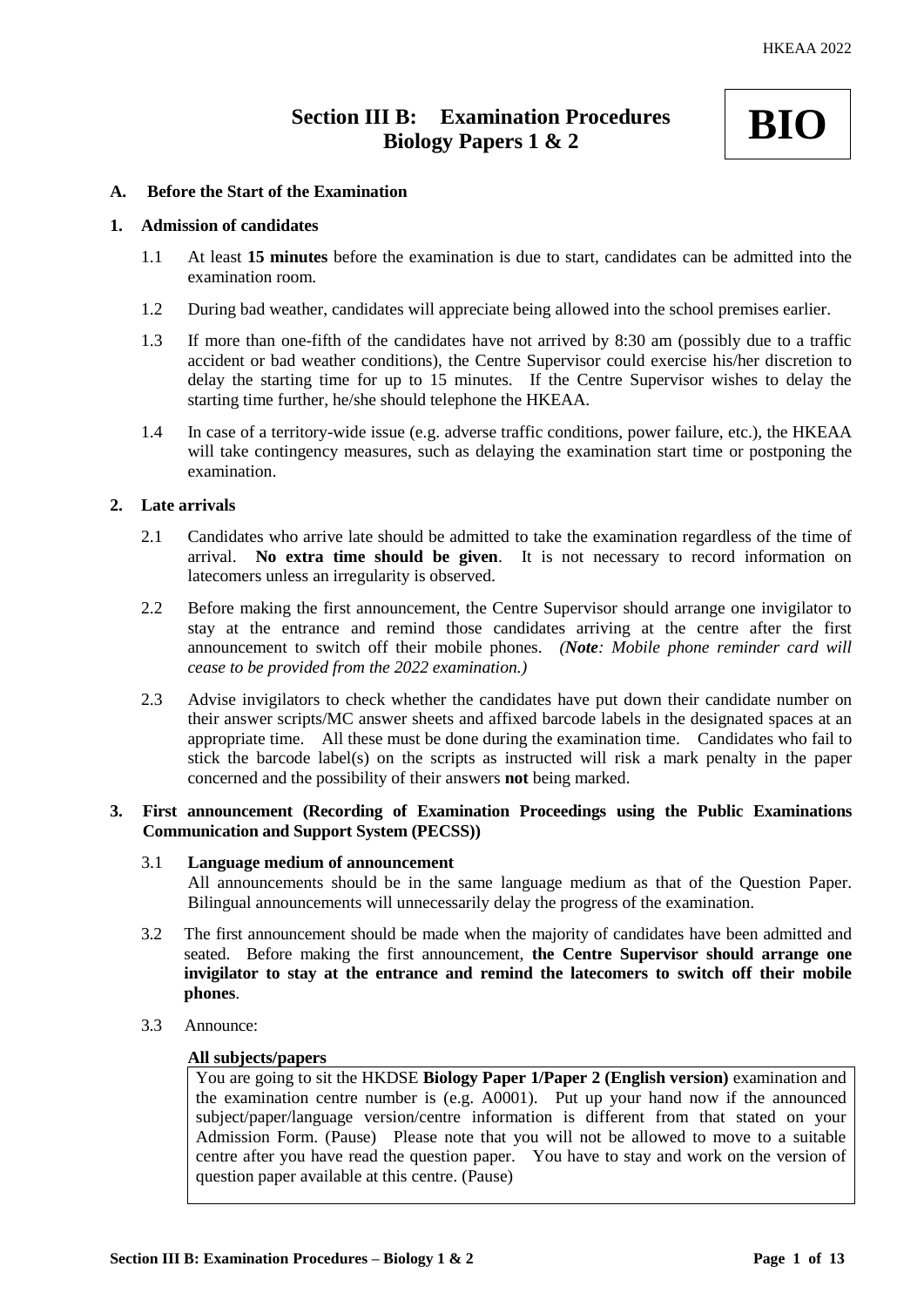# **Section III B: Examination Procedures Biology Papers 1 & 2**



# **A. Before the Start of the Examination**

## **1. Admission of candidates**

- 1.1 At least **15 minutes** before the examination is due to start, candidates can be admitted into the examination room.
- 1.2 During bad weather, candidates will appreciate being allowed into the school premises earlier.
- 1.3 If more than one-fifth of the candidates have not arrived by 8:30 am (possibly due to a traffic accident or bad weather conditions), the Centre Supervisor could exercise his/her discretion to delay the starting time for up to 15 minutes. If the Centre Supervisor wishes to delay the starting time further, he/she should telephone the HKEAA.
- 1.4 In case of a territory-wide issue (e.g. adverse traffic conditions, power failure, etc.), the HKEAA will take contingency measures, such as delaying the examination start time or postponing the examination.

## **2. Late arrivals**

- 2.1 Candidates who arrive late should be admitted to take the examination regardless of the time of arrival. **No extra time should be given**. It is not necessary to record information on latecomers unless an irregularity is observed.
- 2.2 Before making the first announcement, the Centre Supervisor should arrange one invigilator to stay at the entrance and remind those candidates arriving at the centre after the first announcement to switch off their mobile phones. *(Note: Mobile phone reminder card will cease to be provided from the 2022 examination.)*
- 2.3 Advise invigilators to check whether the candidates have put down their candidate number on their answer scripts/MC answer sheets and affixed barcode labels in the designated spaces at an appropriate time. All these must be done during the examination time. Candidates who fail to stick the barcode label(s) on the scripts as instructed will risk a mark penalty in the paper concerned and the possibility of their answers **not** being marked.

# **3. First announcement (Recording of Examination Proceedings using the Public Examinations Communication and Support System (PECSS))**

#### 3.1 **Language medium of announcement**

All announcements should be in the same language medium as that of the Question Paper. Bilingual announcements will unnecessarily delay the progress of the examination.

- 3.2 The first announcement should be made when the majority of candidates have been admitted and seated. Before making the first announcement, **the Centre Supervisor should arrange one invigilator to stay at the entrance and remind the latecomers to switch off their mobile phones**.
- 3.3 Announce:

#### **All subjects/papers**

You are going to sit the HKDSE **Biology Paper 1/Paper 2 (English version)** examination and the examination centre number is (e.g. A0001). Put up your hand now if the announced subject/paper/language version/centre information is different from that stated on your Admission Form. (Pause) Please note that you will not be allowed to move to a suitable centre after you have read the question paper. You have to stay and work on the version of question paper available at this centre. (Pause)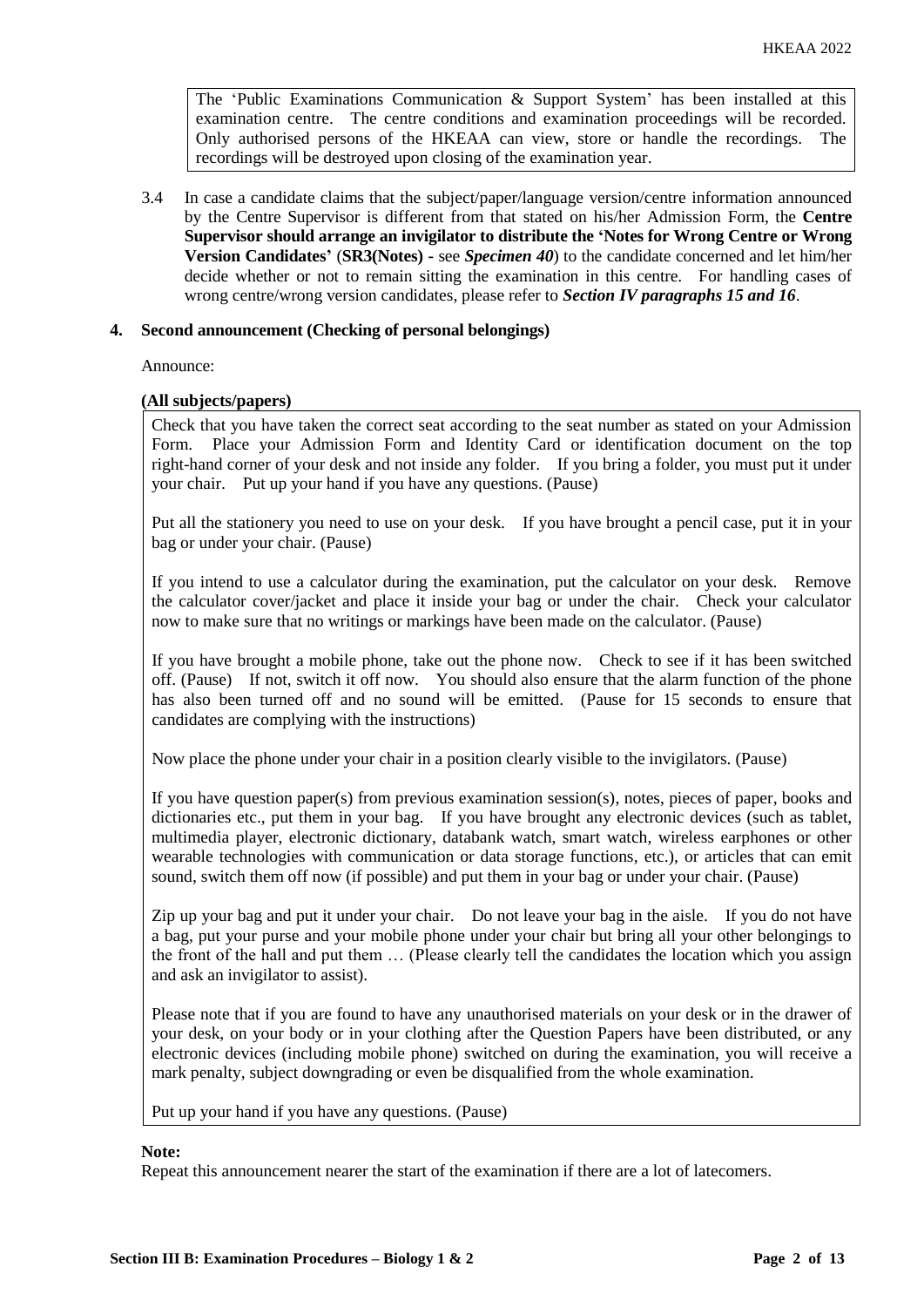The 'Public Examinations Communication  $\&$  Support System' has been installed at this examination centre. The centre conditions and examination proceedings will be recorded. Only authorised persons of the HKEAA can view, store or handle the recordings. The recordings will be destroyed upon closing of the examination year.

3.4 In case a candidate claims that the subject/paper/language version/centre information announced by the Centre Supervisor is different from that stated on his/her Admission Form, the **Centre Supervisor should arrange an invigilator to distribute the 'Notes for Wrong Centre or Wrong Version Candidates'** (**SR3(Notes) -** see *Specimen 40*) to the candidate concerned and let him/her decide whether or not to remain sitting the examination in this centre. For handling cases of wrong centre/wrong version candidates, please refer to *Section IV paragraphs 15 and 16*.

## **4. Second announcement (Checking of personal belongings)**

Announce:

## **(All subjects/papers)**

Check that you have taken the correct seat according to the seat number as stated on your Admission Form. Place your Admission Form and Identity Card or identification document on the top right-hand corner of your desk and not inside any folder. If you bring a folder, you must put it under your chair. Put up your hand if you have any questions. (Pause)

Put all the stationery you need to use on your desk. If you have brought a pencil case, put it in your bag or under your chair. (Pause)

If you intend to use a calculator during the examination, put the calculator on your desk. Remove the calculator cover/jacket and place it inside your bag or under the chair. Check your calculator now to make sure that no writings or markings have been made on the calculator. (Pause)

If you have brought a mobile phone, take out the phone now. Check to see if it has been switched off. (Pause) If not, switch it off now. You should also ensure that the alarm function of the phone has also been turned off and no sound will be emitted. (Pause for 15 seconds to ensure that candidates are complying with the instructions)

Now place the phone under your chair in a position clearly visible to the invigilators. (Pause)

If you have question paper(s) from previous examination session(s), notes, pieces of paper, books and dictionaries etc., put them in your bag. If you have brought any electronic devices (such as tablet, multimedia player, electronic dictionary, databank watch, smart watch, wireless earphones or other wearable technologies with communication or data storage functions, etc.), or articles that can emit sound, switch them off now (if possible) and put them in your bag or under your chair. (Pause)

Zip up your bag and put it under your chair. Do not leave your bag in the aisle. If you do not have a bag, put your purse and your mobile phone under your chair but bring all your other belongings to the front of the hall and put them … (Please clearly tell the candidates the location which you assign and ask an invigilator to assist).

Please note that if you are found to have any unauthorised materials on your desk or in the drawer of your desk, on your body or in your clothing after the Question Papers have been distributed, or any electronic devices (including mobile phone) switched on during the examination, you will receive a mark penalty, subject downgrading or even be disqualified from the whole examination.

Put up your hand if you have any questions. (Pause)

#### **Note:**

Repeat this announcement nearer the start of the examination if there are a lot of latecomers.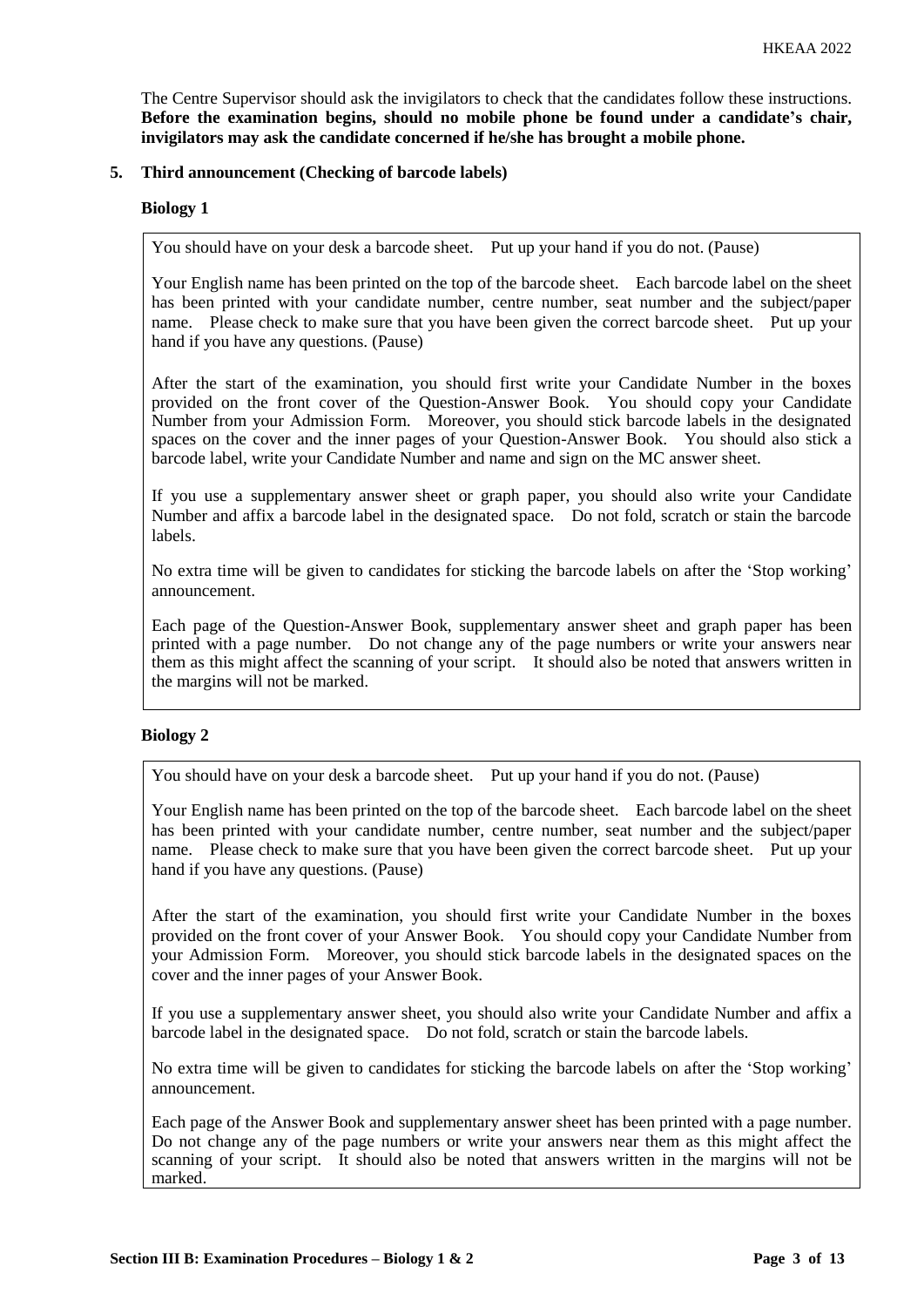The Centre Supervisor should ask the invigilators to check that the candidates follow these instructions. **Before the examination begins, should no mobile phone be found under a candidate's chair, invigilators may ask the candidate concerned if he/she has brought a mobile phone.**

## **5. Third announcement (Checking of barcode labels)**

## **Biology 1**

You should have on your desk a barcode sheet. Put up your hand if you do not. (Pause)

Your English name has been printed on the top of the barcode sheet. Each barcode label on the sheet has been printed with your candidate number, centre number, seat number and the subject/paper name. Please check to make sure that you have been given the correct barcode sheet. Put up your hand if you have any questions. (Pause)

After the start of the examination, you should first write your Candidate Number in the boxes provided on the front cover of the Question-Answer Book. You should copy your Candidate Number from your Admission Form. Moreover, you should stick barcode labels in the designated spaces on the cover and the inner pages of your Question-Answer Book. You should also stick a barcode label, write your Candidate Number and name and sign on the MC answer sheet.

If you use a supplementary answer sheet or graph paper, you should also write your Candidate Number and affix a barcode label in the designated space. Do not fold, scratch or stain the barcode labels.

No extra time will be given to candidates for sticking the barcode labels on after the 'Stop working' announcement.

Each page of the Question-Answer Book, supplementary answer sheet and graph paper has been printed with a page number. Do not change any of the page numbers or write your answers near them as this might affect the scanning of your script. It should also be noted that answers written in the margins will not be marked.

# **Biology 2**

You should have on your desk a barcode sheet. Put up your hand if you do not. (Pause)

Your English name has been printed on the top of the barcode sheet. Each barcode label on the sheet has been printed with your candidate number, centre number, seat number and the subject/paper name. Please check to make sure that you have been given the correct barcode sheet. Put up your hand if you have any questions. (Pause)

After the start of the examination, you should first write your Candidate Number in the boxes provided on the front cover of your Answer Book. You should copy your Candidate Number from your Admission Form. Moreover, you should stick barcode labels in the designated spaces on the cover and the inner pages of your Answer Book.

If you use a supplementary answer sheet, you should also write your Candidate Number and affix a barcode label in the designated space. Do not fold, scratch or stain the barcode labels.

No extra time will be given to candidates for sticking the barcode labels on after the 'Stop working' announcement.

Each page of the Answer Book and supplementary answer sheet has been printed with a page number. Do not change any of the page numbers or write your answers near them as this might affect the scanning of your script. It should also be noted that answers written in the margins will not be marked.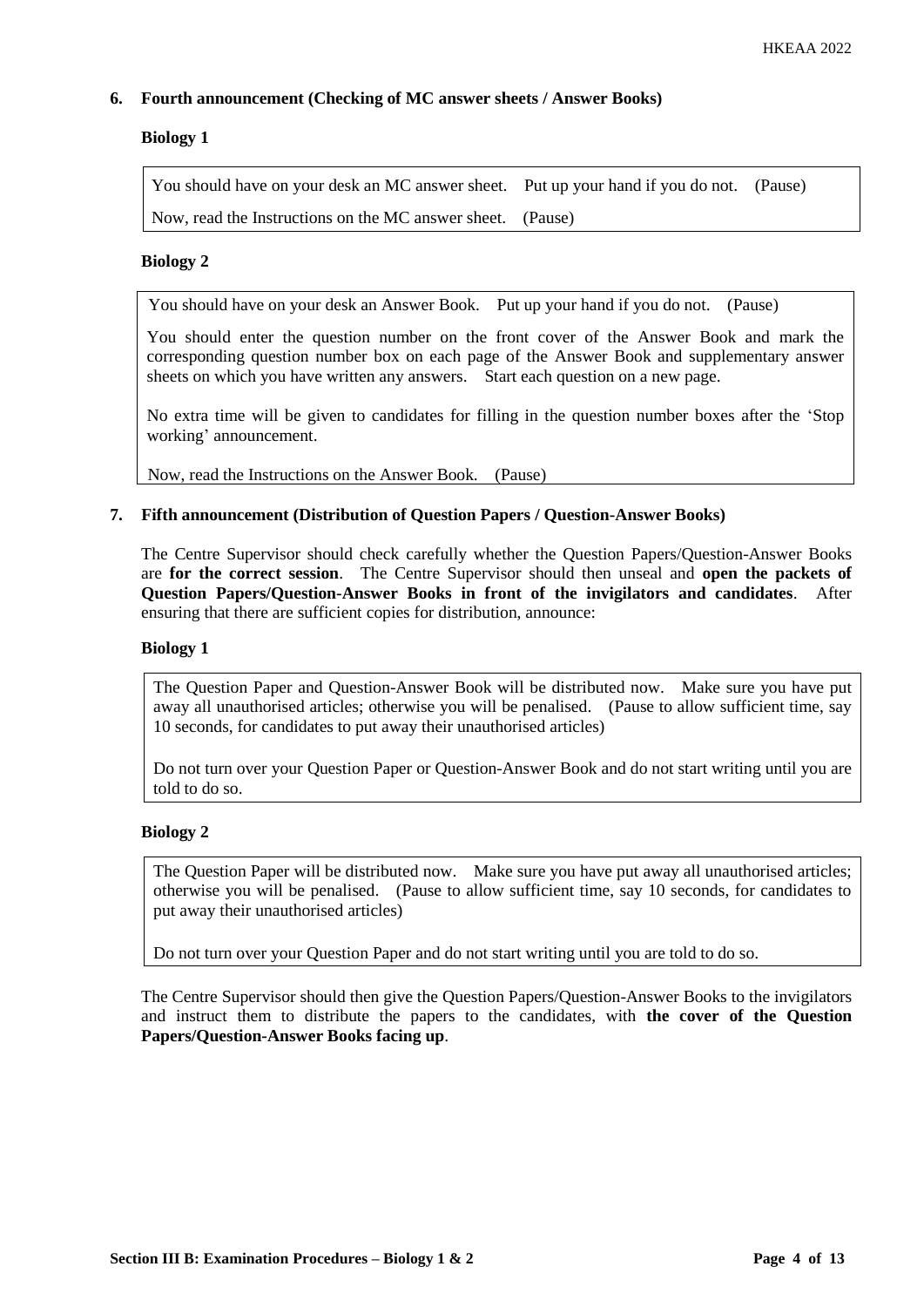# **6. Fourth announcement (Checking of MC answer sheets / Answer Books)**

# **Biology 1**

You should have on your desk an MC answer sheet. Put up your hand if you do not. (Pause) Now, read the Instructions on the MC answer sheet. (Pause)

# **Biology 2**

You should have on your desk an Answer Book. Put up your hand if you do not. (Pause)

You should enter the question number on the front cover of the Answer Book and mark the corresponding question number box on each page of the Answer Book and supplementary answer sheets on which you have written any answers. Start each question on a new page.

No extra time will be given to candidates for filling in the question number boxes after the 'Stop working' announcement.

Now, read the Instructions on the Answer Book. (Pause)

# **7. Fifth announcement (Distribution of Question Papers / Question-Answer Books)**

The Centre Supervisor should check carefully whether the Question Papers/Question-Answer Books are **for the correct session**. The Centre Supervisor should then unseal and **open the packets of Question Papers/Question-Answer Books in front of the invigilators and candidates**. After ensuring that there are sufficient copies for distribution, announce:

## **Biology 1**

The Question Paper and Question-Answer Book will be distributed now. Make sure you have put away all unauthorised articles; otherwise you will be penalised. (Pause to allow sufficient time, say 10 seconds, for candidates to put away their unauthorised articles)

Do not turn over your Question Paper or Question-Answer Book and do not start writing until you are told to do so.

# **Biology 2**

The Question Paper will be distributed now. Make sure you have put away all unauthorised articles; otherwise you will be penalised. (Pause to allow sufficient time, say 10 seconds, for candidates to put away their unauthorised articles)

Do not turn over your Question Paper and do not start writing until you are told to do so.

The Centre Supervisor should then give the Question Papers/Question-Answer Books to the invigilators and instruct them to distribute the papers to the candidates, with **the cover of the Question Papers/Question-Answer Books facing up**.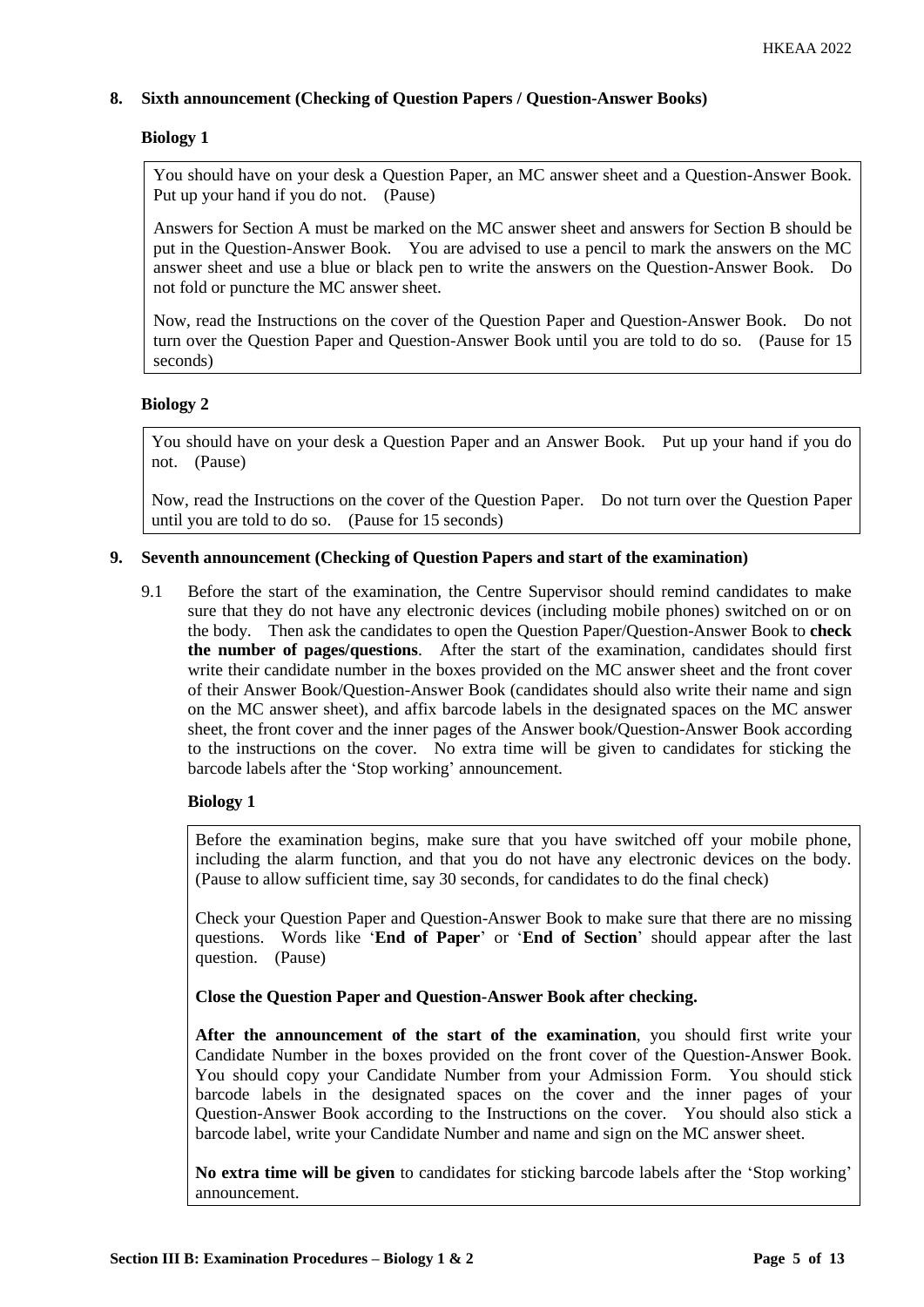# **8. Sixth announcement (Checking of Question Papers / Question-Answer Books)**

# **Biology 1**

You should have on your desk a Question Paper, an MC answer sheet and a Question-Answer Book. Put up your hand if you do not. (Pause)

Answers for Section A must be marked on the MC answer sheet and answers for Section B should be put in the Question-Answer Book. You are advised to use a pencil to mark the answers on the MC answer sheet and use a blue or black pen to write the answers on the Question-Answer Book. Do not fold or puncture the MC answer sheet.

Now, read the Instructions on the cover of the Question Paper and Question-Answer Book. Do not turn over the Question Paper and Question-Answer Book until you are told to do so. (Pause for 15 seconds)

# **Biology 2**

You should have on your desk a Question Paper and an Answer Book. Put up your hand if you do not. (Pause)

Now, read the Instructions on the cover of the Question Paper. Do not turn over the Question Paper until you are told to do so. (Pause for 15 seconds)

# **9. Seventh announcement (Checking of Question Papers and start of the examination)**

9.1 Before the start of the examination, the Centre Supervisor should remind candidates to make sure that they do not have any electronic devices (including mobile phones) switched on or on the body. Then ask the candidates to open the Question Paper/Question-Answer Book to **check the number of pages/questions**. After the start of the examination, candidates should first write their candidate number in the boxes provided on the MC answer sheet and the front cover of their Answer Book/Question-Answer Book (candidates should also write their name and sign on the MC answer sheet), and affix barcode labels in the designated spaces on the MC answer sheet, the front cover and the inner pages of the Answer book/Question-Answer Book according to the instructions on the cover. No extra time will be given to candidates for sticking the barcode labels after the 'Stop working' announcement.

# **Biology 1**

Before the examination begins, make sure that you have switched off your mobile phone, including the alarm function, and that you do not have any electronic devices on the body. (Pause to allow sufficient time, say 30 seconds, for candidates to do the final check)

Check your Question Paper and Question-Answer Book to make sure that there are no missing questions. Words like '**End of Paper**' or '**End of Section**' should appear after the last question. (Pause)

**Close the Question Paper and Question-Answer Book after checking.**

**After the announcement of the start of the examination**, you should first write your Candidate Number in the boxes provided on the front cover of the Question-Answer Book. You should copy your Candidate Number from your Admission Form. You should stick barcode labels in the designated spaces on the cover and the inner pages of your Question-Answer Book according to the Instructions on the cover. You should also stick a barcode label, write your Candidate Number and name and sign on the MC answer sheet.

**No extra time will be given** to candidates for sticking barcode labels after the 'Stop working' announcement.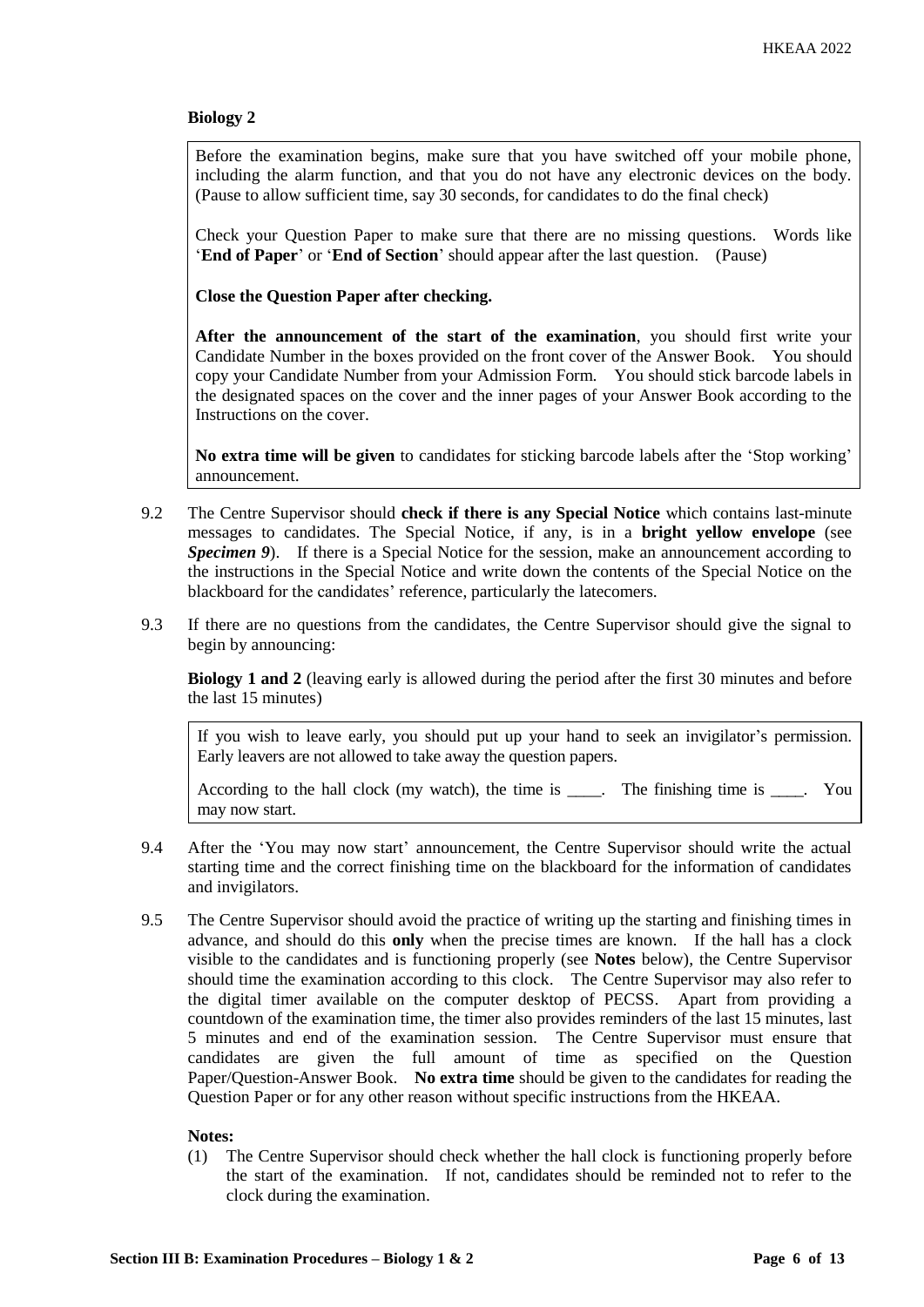Before the examination begins, make sure that you have switched off your mobile phone, including the alarm function, and that you do not have any electronic devices on the body. (Pause to allow sufficient time, say 30 seconds, for candidates to do the final check)

Check your Question Paper to make sure that there are no missing questions. Words like '**End of Paper**' or '**End of Section**' should appear after the last question. (Pause)

**Close the Question Paper after checking.**

**After the announcement of the start of the examination**, you should first write your Candidate Number in the boxes provided on the front cover of the Answer Book. You should copy your Candidate Number from your Admission Form. You should stick barcode labels in the designated spaces on the cover and the inner pages of your Answer Book according to the Instructions on the cover.

**No extra time will be given** to candidates for sticking barcode labels after the 'Stop working' announcement.

- 9.2 The Centre Supervisor should **check if there is any Special Notice** which contains last-minute messages to candidates. The Special Notice, if any, is in a **bright yellow envelope** (see *Specimen 9*). If there is a Special Notice for the session, make an announcement according to the instructions in the Special Notice and write down the contents of the Special Notice on the blackboard for the candidates' reference, particularly the latecomers.
- 9.3 If there are no questions from the candidates, the Centre Supervisor should give the signal to begin by announcing:

**Biology 1 and 2** (leaving early is allowed during the period after the first 30 minutes and before the last 15 minutes)

If you wish to leave early, you should put up your hand to seek an invigilator's permission. Early leavers are not allowed to take away the question papers.

According to the hall clock (my watch), the time is \_\_\_\_. The finishing time is \_\_\_\_. You may now start.

- 9.4 After the 'You may now start' announcement, the Centre Supervisor should write the actual starting time and the correct finishing time on the blackboard for the information of candidates and invigilators.
- 9.5 The Centre Supervisor should avoid the practice of writing up the starting and finishing times in advance, and should do this **only** when the precise times are known. If the hall has a clock visible to the candidates and is functioning properly (see **Notes** below), the Centre Supervisor should time the examination according to this clock. The Centre Supervisor may also refer to the digital timer available on the computer desktop of PECSS. Apart from providing a countdown of the examination time, the timer also provides reminders of the last 15 minutes, last 5 minutes and end of the examination session. The Centre Supervisor must ensure that candidates are given the full amount of time as specified on the Question Paper/Question-Answer Book. **No extra time** should be given to the candidates for reading the Question Paper or for any other reason without specific instructions from the HKEAA.

#### **Notes:**

(1) The Centre Supervisor should check whether the hall clock is functioning properly before the start of the examination. If not, candidates should be reminded not to refer to the clock during the examination.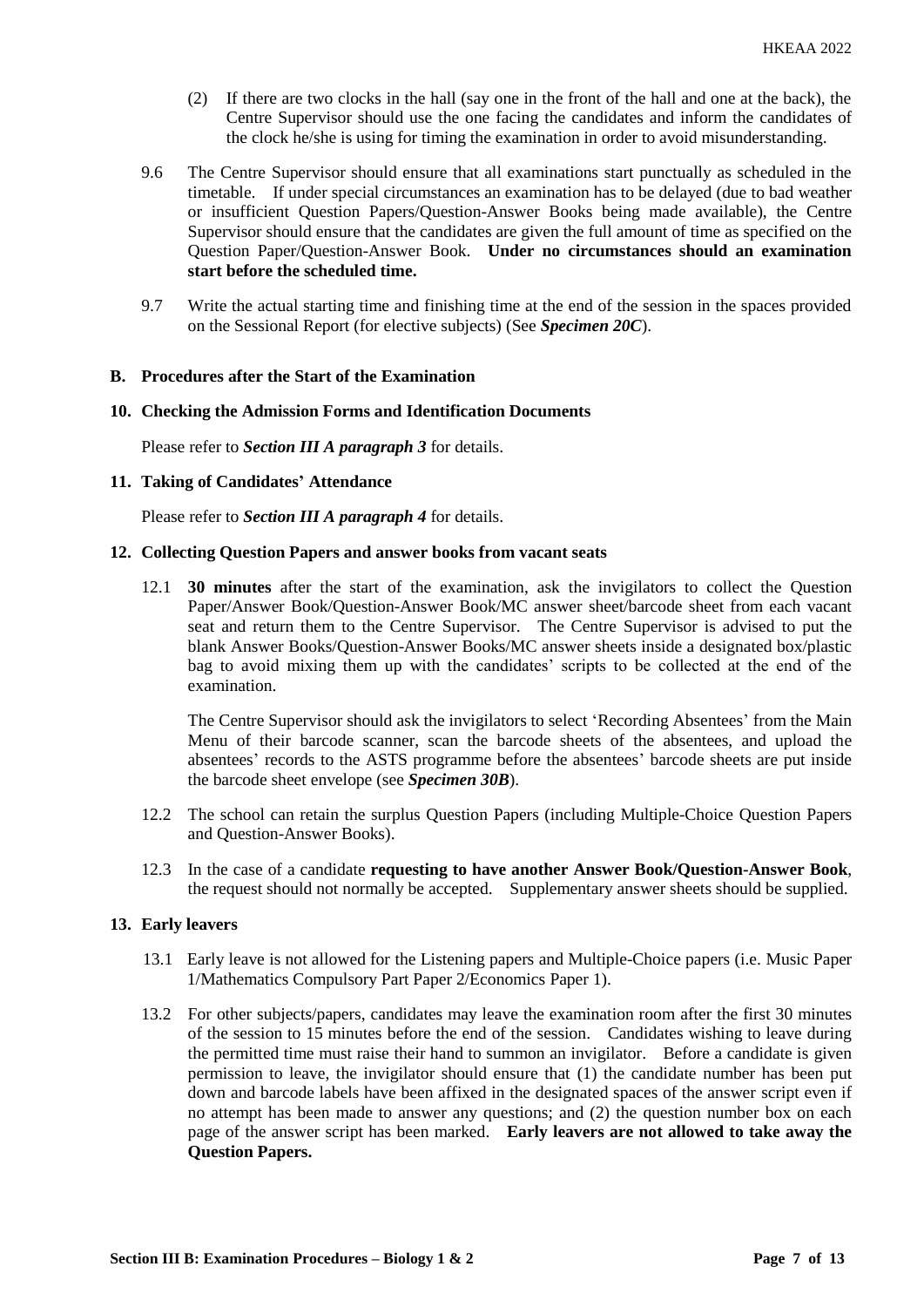- (2) If there are two clocks in the hall (say one in the front of the hall and one at the back), the Centre Supervisor should use the one facing the candidates and inform the candidates of the clock he/she is using for timing the examination in order to avoid misunderstanding.
- 9.6 The Centre Supervisor should ensure that all examinations start punctually as scheduled in the timetable. If under special circumstances an examination has to be delayed (due to bad weather or insufficient Question Papers/Question-Answer Books being made available), the Centre Supervisor should ensure that the candidates are given the full amount of time as specified on the Question Paper/Question-Answer Book. **Under no circumstances should an examination start before the scheduled time.**
- 9.7 Write the actual starting time and finishing time at the end of the session in the spaces provided on the Sessional Report (for elective subjects) (See *Specimen 20C*).

#### **B. Procedures after the Start of the Examination**

## **10. Checking the Admission Forms and Identification Documents**

Please refer to *Section III A paragraph 3* for details.

## **11. Taking of Candidates' Attendance**

Please refer to *Section III A paragraph 4* for details.

#### **12. Collecting Question Papers and answer books from vacant seats**

12.1 **30 minutes** after the start of the examination, ask the invigilators to collect the Question Paper/Answer Book/Question-Answer Book/MC answer sheet/barcode sheet from each vacant seat and return them to the Centre Supervisor. The Centre Supervisor is advised to put the blank Answer Books/Question-Answer Books/MC answer sheets inside a designated box/plastic bag to avoid mixing them up with the candidates' scripts to be collected at the end of the examination.

The Centre Supervisor should ask the invigilators to select 'Recording Absentees' from the Main Menu of their barcode scanner, scan the barcode sheets of the absentees, and upload the absentees' records to the ASTS programme before the absentees' barcode sheets are put inside the barcode sheet envelope (see *Specimen 30B*).

- 12.2 The school can retain the surplus Question Papers (including Multiple-Choice Question Papers and Question-Answer Books).
- 12.3 In the case of a candidate **requesting to have another Answer Book/Question-Answer Book**, the request should not normally be accepted. Supplementary answer sheets should be supplied.

## **13. Early leavers**

- 13.1 Early leave is not allowed for the Listening papers and Multiple-Choice papers (i.e. Music Paper 1/Mathematics Compulsory Part Paper 2/Economics Paper 1).
- 13.2 For other subjects/papers, candidates may leave the examination room after the first 30 minutes of the session to 15 minutes before the end of the session. Candidates wishing to leave during the permitted time must raise their hand to summon an invigilator. Before a candidate is given permission to leave, the invigilator should ensure that (1) the candidate number has been put down and barcode labels have been affixed in the designated spaces of the answer script even if no attempt has been made to answer any questions; and (2) the question number box on each page of the answer script has been marked. **Early leavers are not allowed to take away the Question Papers.**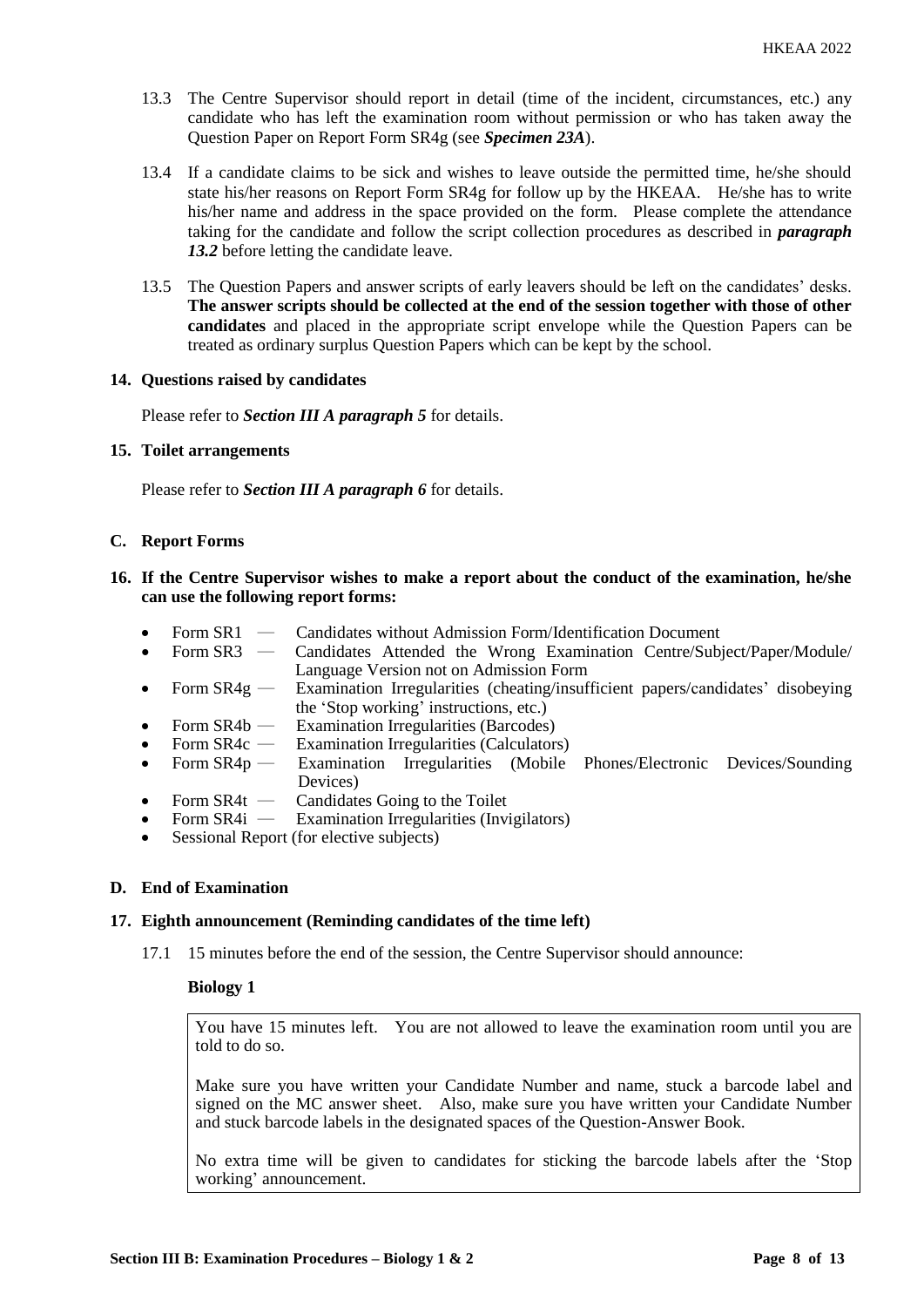- 13.3 The Centre Supervisor should report in detail (time of the incident, circumstances, etc.) any candidate who has left the examination room without permission or who has taken away the Question Paper on Report Form SR4g (see *Specimen 23A*).
- 13.4 If a candidate claims to be sick and wishes to leave outside the permitted time, he/she should state his/her reasons on Report Form SR4g for follow up by the HKEAA. He/she has to write his/her name and address in the space provided on the form. Please complete the attendance taking for the candidate and follow the script collection procedures as described in *paragraph 13.2* before letting the candidate leave.
- 13.5 The Question Papers and answer scripts of early leavers should be left on the candidates' desks. **The answer scripts should be collected at the end of the session together with those of other candidates** and placed in the appropriate script envelope while the Question Papers can be treated as ordinary surplus Question Papers which can be kept by the school.

## **14. Questions raised by candidates**

Please refer to *Section III A paragraph 5* for details.

## **15. Toilet arrangements**

Please refer to *Section III A paragraph 6* for details.

## **C. Report Forms**

## **16. If the Centre Supervisor wishes to make a report about the conduct of the examination, he/she can use the following report forms:**

- Form SR1 Candidates without Admission Form/Identification Document<br>Form SR3 Candidates Attended the Wrong Examination Centre/Sub
- Form SR3 Candidates Attended the Wrong Examination Centre/Subject/Paper/Module/ Language Version not on Admission Form
- Form SR4g Examination Irregularities (cheating/insufficient papers/candidates' disobeying the 'Stop working' instructions, etc.)
- Form SR4b Examination Irregularities (Barcodes)
- Form SR4c Examination Irregularities (Calculators)
- Form SR4p ― Examination Irregularities (Mobile Phones/Electronic Devices/Sounding Devices)
- Form SR4t Candidates Going to the Toilet<br>Form SR4i Examination Irregularities (Invi
- **Examination Irregularities (Invigilators)**
- Sessional Report (for elective subjects)

# **D. End of Examination**

# **17. Eighth announcement (Reminding candidates of the time left)**

17.1 15 minutes before the end of the session, the Centre Supervisor should announce:

# **Biology 1**

You have 15 minutes left. You are not allowed to leave the examination room until you are told to do so.

Make sure you have written your Candidate Number and name, stuck a barcode label and signed on the MC answer sheet. Also, make sure you have written your Candidate Number and stuck barcode labels in the designated spaces of the Question-Answer Book.

No extra time will be given to candidates for sticking the barcode labels after the 'Stop working' announcement.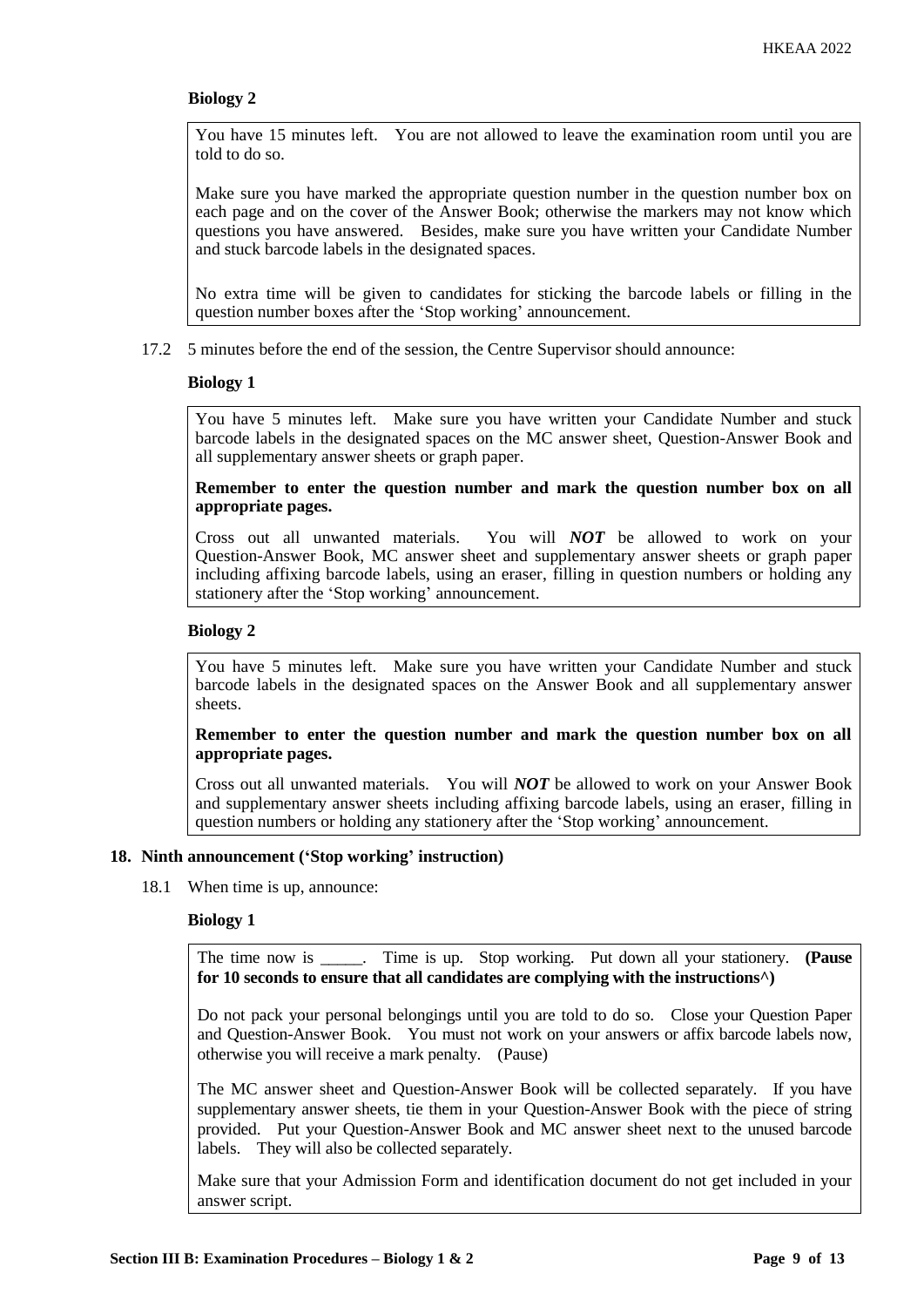You have 15 minutes left. You are not allowed to leave the examination room until you are told to do so.

Make sure you have marked the appropriate question number in the question number box on each page and on the cover of the Answer Book; otherwise the markers may not know which questions you have answered. Besides, make sure you have written your Candidate Number and stuck barcode labels in the designated spaces.

No extra time will be given to candidates for sticking the barcode labels or filling in the question number boxes after the 'Stop working' announcement.

17.2 5 minutes before the end of the session, the Centre Supervisor should announce:

## **Biology 1**

You have 5 minutes left. Make sure you have written your Candidate Number and stuck barcode labels in the designated spaces on the MC answer sheet, Question-Answer Book and all supplementary answer sheets or graph paper.

**Remember to enter the question number and mark the question number box on all appropriate pages.** 

Cross out all unwanted materials. You will *NOT* be allowed to work on your Question-Answer Book, MC answer sheet and supplementary answer sheets or graph paper including affixing barcode labels, using an eraser, filling in question numbers or holding any stationery after the 'Stop working' announcement.

# **Biology 2**

You have 5 minutes left. Make sure you have written your Candidate Number and stuck barcode labels in the designated spaces on the Answer Book and all supplementary answer sheets.

# **Remember to enter the question number and mark the question number box on all appropriate pages.**

Cross out all unwanted materials. You will *NOT* be allowed to work on your Answer Book and supplementary answer sheets including affixing barcode labels, using an eraser, filling in question numbers or holding any stationery after the 'Stop working' announcement.

#### **18. Ninth announcement ('Stop working' instruction)**

18.1 When time is up, announce:

# **Biology 1**

The time now is \_\_\_\_\_. Time is up. Stop working. Put down all your stationery. **(Pause for 10 seconds to ensure that all candidates are complying with the instructions^)**

Do not pack your personal belongings until you are told to do so. Close your Question Paper and Question-Answer Book. You must not work on your answers or affix barcode labels now, otherwise you will receive a mark penalty. (Pause)

The MC answer sheet and Question-Answer Book will be collected separately. If you have supplementary answer sheets, tie them in your Question-Answer Book with the piece of string provided. Put your Question-Answer Book and MC answer sheet next to the unused barcode labels. They will also be collected separately.

Make sure that your Admission Form and identification document do not get included in your answer script.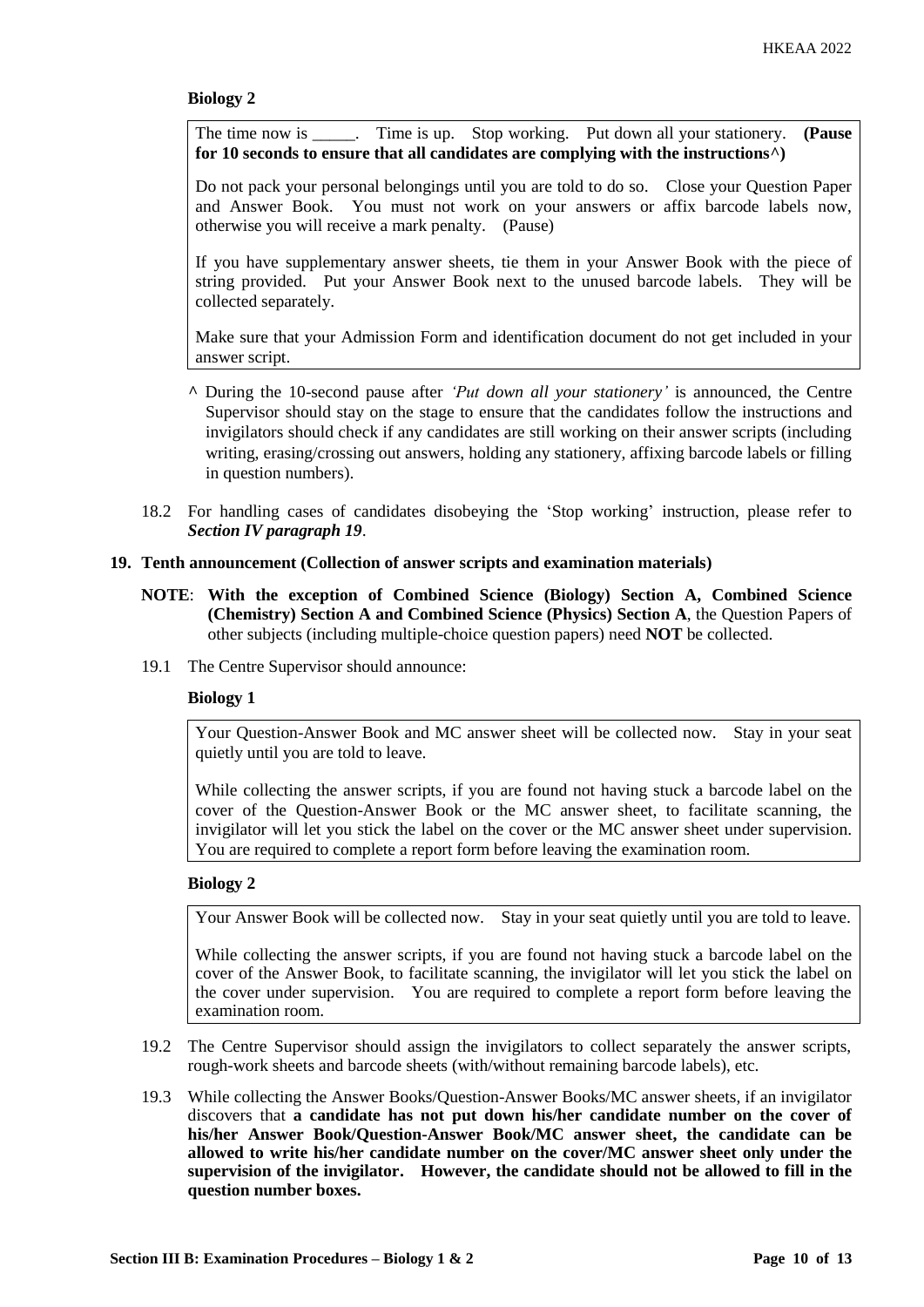The time now is \_\_\_\_\_. Time is up. Stop working. Put down all your stationery. **(Pause for 10 seconds to ensure that all candidates are complying with the instructions^)**

Do not pack your personal belongings until you are told to do so. Close your Question Paper and Answer Book. You must not work on your answers or affix barcode labels now, otherwise you will receive a mark penalty. (Pause)

If you have supplementary answer sheets, tie them in your Answer Book with the piece of string provided. Put your Answer Book next to the unused barcode labels. They will be collected separately.

Make sure that your Admission Form and identification document do not get included in your answer script.

- **^** During the 10-second pause after *'Put down all your stationery'* is announced, the Centre Supervisor should stay on the stage to ensure that the candidates follow the instructions and invigilators should check if any candidates are still working on their answer scripts (including writing, erasing/crossing out answers, holding any stationery, affixing barcode labels or filling in question numbers).
- 18.2 For handling cases of candidates disobeying the 'Stop working' instruction, please refer to *Section IV paragraph 19*.

## **19. Tenth announcement (Collection of answer scripts and examination materials)**

- **NOTE**: **With the exception of Combined Science (Biology) Section A, Combined Science (Chemistry) Section A and Combined Science (Physics) Section A**, the Question Papers of other subjects (including multiple-choice question papers) need **NOT** be collected.
- 19.1 The Centre Supervisor should announce:

#### **Biology 1**

Your Question-Answer Book and MC answer sheet will be collected now. Stay in your seat quietly until you are told to leave.

While collecting the answer scripts, if you are found not having stuck a barcode label on the cover of the Question-Answer Book or the MC answer sheet, to facilitate scanning, the invigilator will let you stick the label on the cover or the MC answer sheet under supervision. You are required to complete a report form before leaving the examination room.

# **Biology 2**

Your Answer Book will be collected now. Stay in your seat quietly until you are told to leave.

While collecting the answer scripts, if you are found not having stuck a barcode label on the cover of the Answer Book, to facilitate scanning, the invigilator will let you stick the label on the cover under supervision. You are required to complete a report form before leaving the examination room.

- 19.2 The Centre Supervisor should assign the invigilators to collect separately the answer scripts, rough-work sheets and barcode sheets (with/without remaining barcode labels), etc.
- 19.3 While collecting the Answer Books/Question-Answer Books/MC answer sheets, if an invigilator discovers that **a candidate has not put down his/her candidate number on the cover of his/her Answer Book/Question-Answer Book/MC answer sheet, the candidate can be allowed to write his/her candidate number on the cover/MC answer sheet only under the supervision of the invigilator. However, the candidate should not be allowed to fill in the question number boxes.**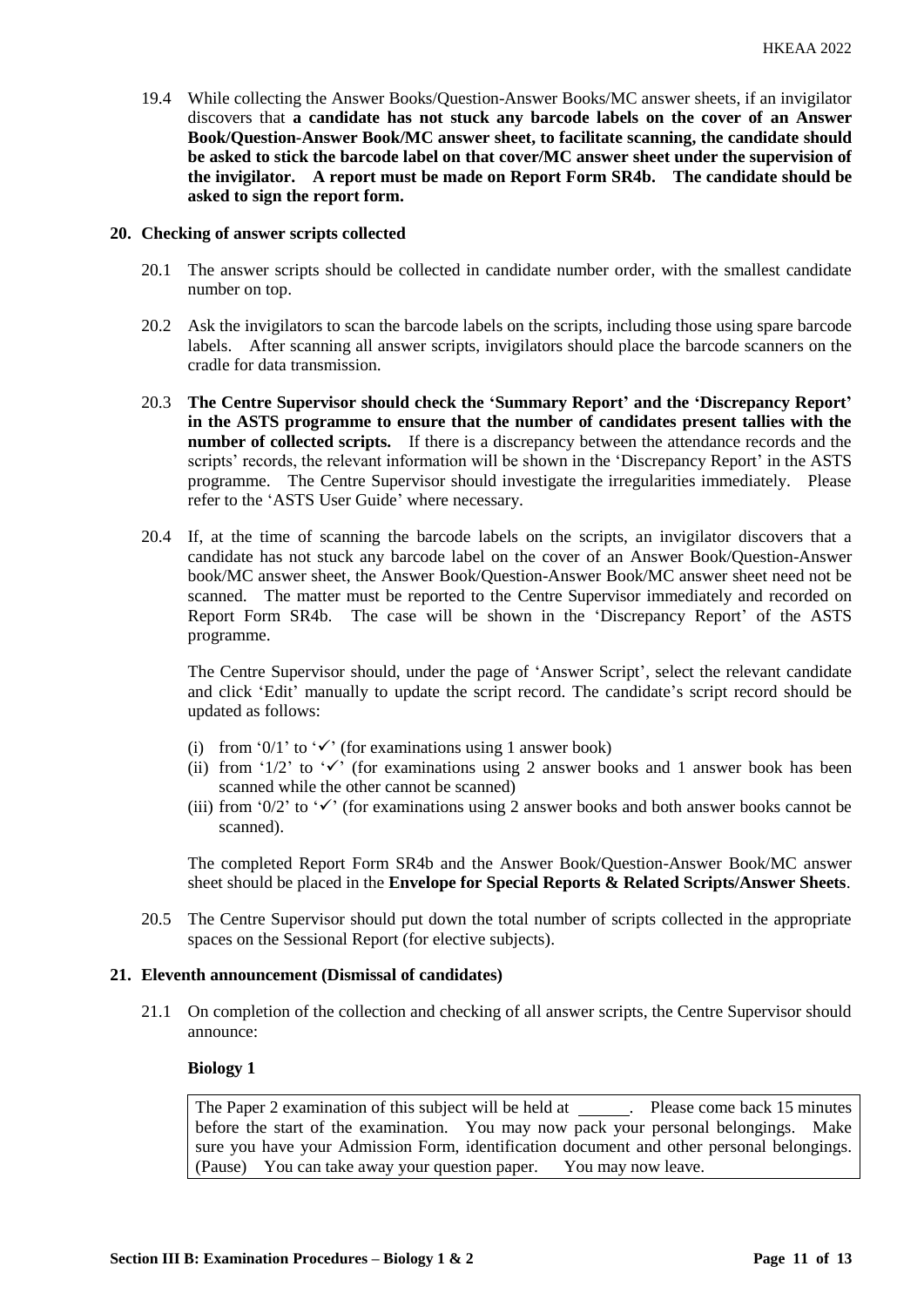19.4 While collecting the Answer Books/Question-Answer Books/MC answer sheets, if an invigilator discovers that **a candidate has not stuck any barcode labels on the cover of an Answer Book/Question-Answer Book/MC answer sheet, to facilitate scanning, the candidate should be asked to stick the barcode label on that cover/MC answer sheet under the supervision of the invigilator. A report must be made on Report Form SR4b. The candidate should be asked to sign the report form.** 

#### **20. Checking of answer scripts collected**

- 20.1 The answer scripts should be collected in candidate number order, with the smallest candidate number on top.
- 20.2 Ask the invigilators to scan the barcode labels on the scripts, including those using spare barcode labels. After scanning all answer scripts, invigilators should place the barcode scanners on the cradle for data transmission.
- 20.3 **The Centre Supervisor should check the 'Summary Report' and the 'Discrepancy Report' in the ASTS programme to ensure that the number of candidates present tallies with the number of collected scripts.** If there is a discrepancy between the attendance records and the scripts' records, the relevant information will be shown in the 'Discrepancy Report' in the ASTS programme. The Centre Supervisor should investigate the irregularities immediately. Please refer to the 'ASTS User Guide' where necessary.
- 20.4 If, at the time of scanning the barcode labels on the scripts, an invigilator discovers that a candidate has not stuck any barcode label on the cover of an Answer Book/Question-Answer book/MC answer sheet, the Answer Book/Question-Answer Book/MC answer sheet need not be scanned. The matter must be reported to the Centre Supervisor immediately and recorded on Report Form SR4b. The case will be shown in the 'Discrepancy Report' of the ASTS programme.

The Centre Supervisor should, under the page of 'Answer Script', select the relevant candidate and click 'Edit' manually to update the script record. The candidate's script record should be updated as follows:

- (i) from '0/1' to ' $\checkmark$ ' (for examinations using 1 answer book)
- (ii) from '1/2' to ' $\checkmark$ ' (for examinations using 2 answer books and 1 answer book has been scanned while the other cannot be scanned)
- (iii) from '0/2' to ' $\checkmark$ ' (for examinations using 2 answer books and both answer books cannot be scanned).

The completed Report Form SR4b and the Answer Book/Question-Answer Book/MC answer sheet should be placed in the **Envelope for Special Reports & Related Scripts/Answer Sheets**.

20.5 The Centre Supervisor should put down the total number of scripts collected in the appropriate spaces on the Sessional Report (for elective subjects).

# **21. Eleventh announcement (Dismissal of candidates)**

21.1 On completion of the collection and checking of all answer scripts, the Centre Supervisor should announce:

## **Biology 1**

The Paper 2 examination of this subject will be held at \_\_\_\_\_\_. Please come back 15 minutes before the start of the examination. You may now pack your personal belongings. Make sure you have your Admission Form, identification document and other personal belongings. (Pause) You can take away your question paper. You may now leave.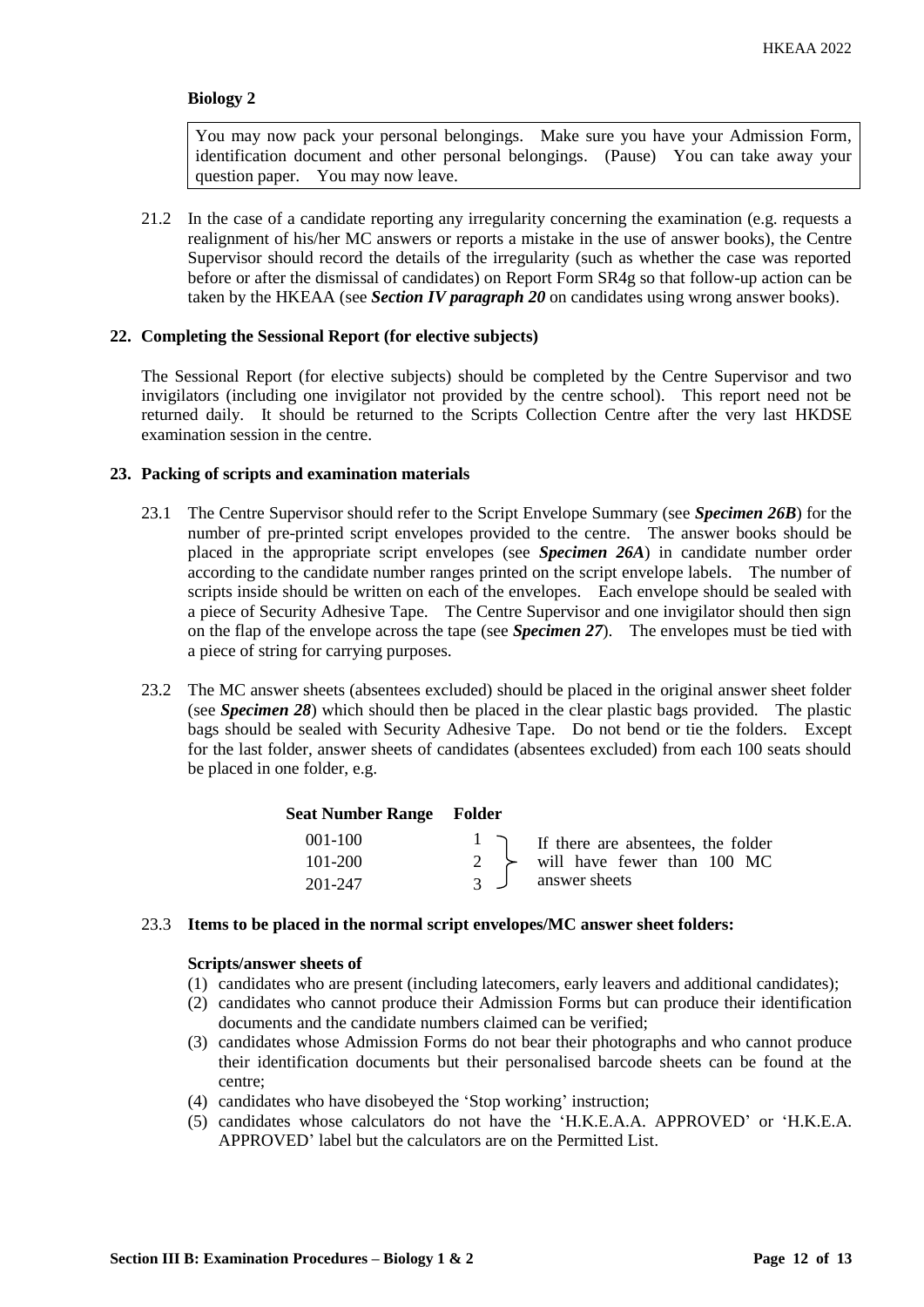You may now pack your personal belongings. Make sure you have your Admission Form, identification document and other personal belongings. (Pause) You can take away your question paper. You may now leave.

21.2 In the case of a candidate reporting any irregularity concerning the examination (e.g. requests a realignment of his/her MC answers or reports a mistake in the use of answer books), the Centre Supervisor should record the details of the irregularity (such as whether the case was reported before or after the dismissal of candidates) on Report Form SR4g so that follow-up action can be taken by the HKEAA (see *Section IV paragraph 20* on candidates using wrong answer books).

## **22. Completing the Sessional Report (for elective subjects)**

The Sessional Report (for elective subjects) should be completed by the Centre Supervisor and two invigilators (including one invigilator not provided by the centre school). This report need not be returned daily. It should be returned to the Scripts Collection Centre after the very last HKDSE examination session in the centre.

## **23. Packing of scripts and examination materials**

- 23.1 The Centre Supervisor should refer to the Script Envelope Summary (see *Specimen 26B*) for the number of pre-printed script envelopes provided to the centre. The answer books should be placed in the appropriate script envelopes (see *Specimen 26A*) in candidate number order according to the candidate number ranges printed on the script envelope labels. The number of scripts inside should be written on each of the envelopes. Each envelope should be sealed with a piece of Security Adhesive Tape. The Centre Supervisor and one invigilator should then sign on the flap of the envelope across the tape (see *Specimen 27*). The envelopes must be tied with a piece of string for carrying purposes.
- 23.2 The MC answer sheets (absentees excluded) should be placed in the original answer sheet folder (see *Specimen 28*) which should then be placed in the clear plastic bags provided. The plastic bags should be sealed with Security Adhesive Tape. Do not bend or tie the folders. Except for the last folder, answer sheets of candidates (absentees excluded) from each 100 seats should be placed in one folder, e.g.

#### **Seat Number Range Folder**

| $001 - 100$ | $\frac{1}{\sqrt{1}}$ If there are absentees, the folder |
|-------------|---------------------------------------------------------|
| 101-200     | $\rightarrow$ will have fewer than 100 MC               |
| 201-247     | answer sheets                                           |

## 23.3 **Items to be placed in the normal script envelopes/MC answer sheet folders:**

#### **Scripts/answer sheets of**

- (1) candidates who are present (including latecomers, early leavers and additional candidates);
- (2) candidates who cannot produce their Admission Forms but can produce their identification documents and the candidate numbers claimed can be verified;
- (3) candidates whose Admission Forms do not bear their photographs and who cannot produce their identification documents but their personalised barcode sheets can be found at the centre;
- (4) candidates who have disobeyed the 'Stop working' instruction;
- (5) candidates whose calculators do not have the 'H.K.E.A.A. APPROVED' or 'H.K.E.A. APPROVED' label but the calculators are on the Permitted List.